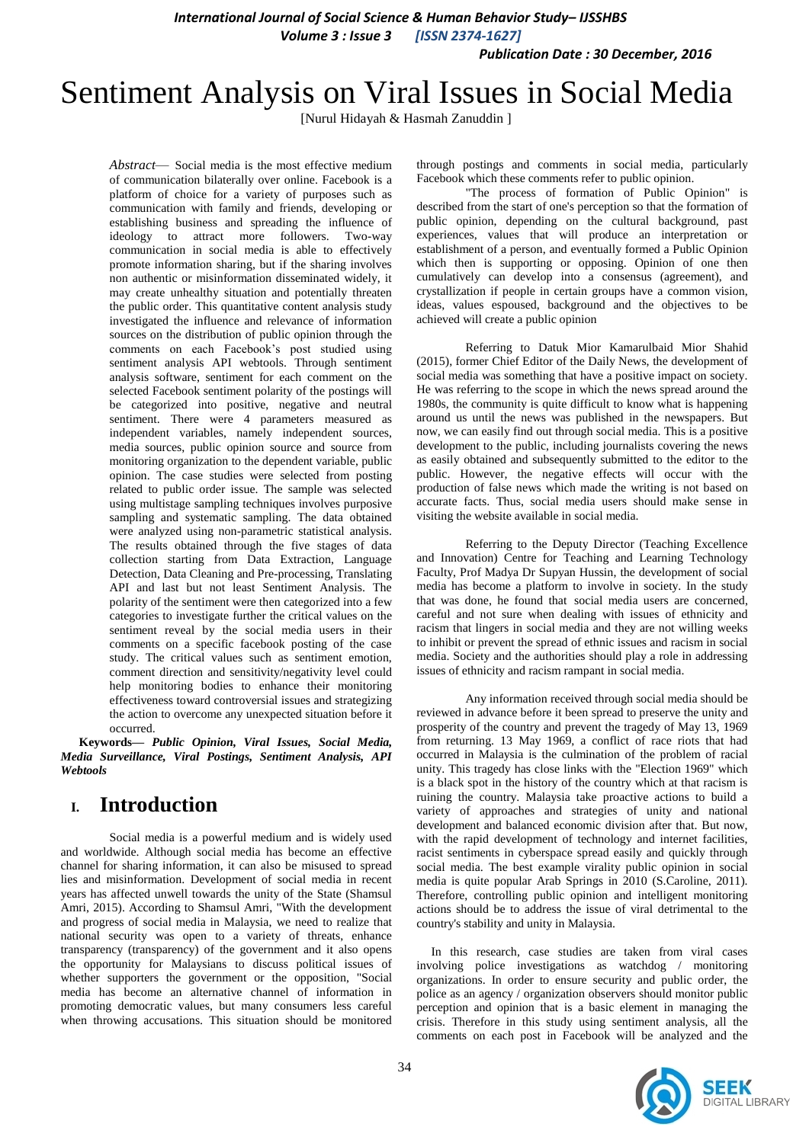*International Journal of Social Science & Human Behavior Study– IJSSHBS*

*Volume 3 : Issue 3 [ISSN 2374-1627]*

*Publication Date : 30 December, 2016*

# Sentiment Analysis on Viral Issues in Social Media

[Nurul Hidayah & Hasmah Zanuddin ]

*Abstract*— Social media is the most effective medium of communication bilaterally over online. Facebook is a platform of choice for a variety of purposes such as communication with family and friends, developing or establishing business and spreading the influence of ideology to attract more followers. Two-way communication in social media is able to effectively promote information sharing, but if the sharing involves non authentic or misinformation disseminated widely, it may create unhealthy situation and potentially threaten the public order. This quantitative content analysis study investigated the influence and relevance of information sources on the distribution of public opinion through the comments on each Facebook's post studied using sentiment analysis API webtools. Through sentiment analysis software, sentiment for each comment on the selected Facebook sentiment polarity of the postings will be categorized into positive, negative and neutral sentiment. There were 4 parameters measured as independent variables, namely independent sources, media sources, public opinion source and source from monitoring organization to the dependent variable, public opinion. The case studies were selected from posting related to public order issue. The sample was selected using multistage sampling techniques involves purposive sampling and systematic sampling. The data obtained were analyzed using non-parametric statistical analysis. The results obtained through the five stages of data collection starting from Data Extraction, Language Detection, Data Cleaning and Pre-processing, Translating API and last but not least Sentiment Analysis. The polarity of the sentiment were then categorized into a few categories to investigate further the critical values on the sentiment reveal by the social media users in their comments on a specific facebook posting of the case study. The critical values such as sentiment emotion, comment direction and sensitivity/negativity level could help monitoring bodies to enhance their monitoring effectiveness toward controversial issues and strategizing the action to overcome any unexpected situation before it occurred.

**Keywords—** *Public Opinion, Viral Issues, Social Media, Media Surveillance, Viral Postings, Sentiment Analysis, API Webtools*

# **I. Introduction**

Social media is a powerful medium and is widely used and worldwide. Although social media has become an effective channel for sharing information, it can also be misused to spread lies and misinformation. Development of social media in recent years has affected unwell towards the unity of the State (Shamsul Amri, 2015). According to Shamsul Amri, "With the development and progress of social media in Malaysia, we need to realize that national security was open to a variety of threats, enhance transparency (transparency) of the government and it also opens the opportunity for Malaysians to discuss political issues of whether supporters the government or the opposition, "Social media has become an alternative channel of information in promoting democratic values, but many consumers less careful when throwing accusations. This situation should be monitored

through postings and comments in social media, particularly Facebook which these comments refer to public opinion.

"The process of formation of Public Opinion" is described from the start of one's perception so that the formation of public opinion, depending on the cultural background, past experiences, values that will produce an interpretation or establishment of a person, and eventually formed a Public Opinion which then is supporting or opposing. Opinion of one then cumulatively can develop into a consensus (agreement), and crystallization if people in certain groups have a common vision, ideas, values espoused, background and the objectives to be achieved will create a public opinion

Referring to Datuk Mior Kamarulbaid Mior Shahid (2015), former Chief Editor of the Daily News, the development of social media was something that have a positive impact on society. He was referring to the scope in which the news spread around the 1980s, the community is quite difficult to know what is happening around us until the news was published in the newspapers. But now, we can easily find out through social media. This is a positive development to the public, including journalists covering the news as easily obtained and subsequently submitted to the editor to the public. However, the negative effects will occur with the production of false news which made the writing is not based on accurate facts. Thus, social media users should make sense in visiting the website available in social media.

Referring to the Deputy Director (Teaching Excellence and Innovation) Centre for Teaching and Learning Technology Faculty, Prof Madya Dr Supyan Hussin, the development of social media has become a platform to involve in society. In the study that was done, he found that social media users are concerned, careful and not sure when dealing with issues of ethnicity and racism that lingers in social media and they are not willing weeks to inhibit or prevent the spread of ethnic issues and racism in social media. Society and the authorities should play a role in addressing issues of ethnicity and racism rampant in social media.

Any information received through social media should be reviewed in advance before it been spread to preserve the unity and prosperity of the country and prevent the tragedy of May 13, 1969 from returning. 13 May 1969, a conflict of race riots that had occurred in Malaysia is the culmination of the problem of racial unity. This tragedy has close links with the "Election 1969" which is a black spot in the history of the country which at that racism is ruining the country. Malaysia take proactive actions to build a variety of approaches and strategies of unity and national development and balanced economic division after that. But now, with the rapid development of technology and internet facilities, racist sentiments in cyberspace spread easily and quickly through social media. The best example virality public opinion in social media is quite popular Arab Springs in 2010 (S.Caroline, 2011). Therefore, controlling public opinion and intelligent monitoring actions should be to address the issue of viral detrimental to the country's stability and unity in Malaysia.

In this research, case studies are taken from viral cases involving police investigations as watchdog / monitoring organizations. In order to ensure security and public order, the police as an agency / organization observers should monitor public perception and opinion that is a basic element in managing the crisis. Therefore in this study using sentiment analysis, all the comments on each post in Facebook will be analyzed and the

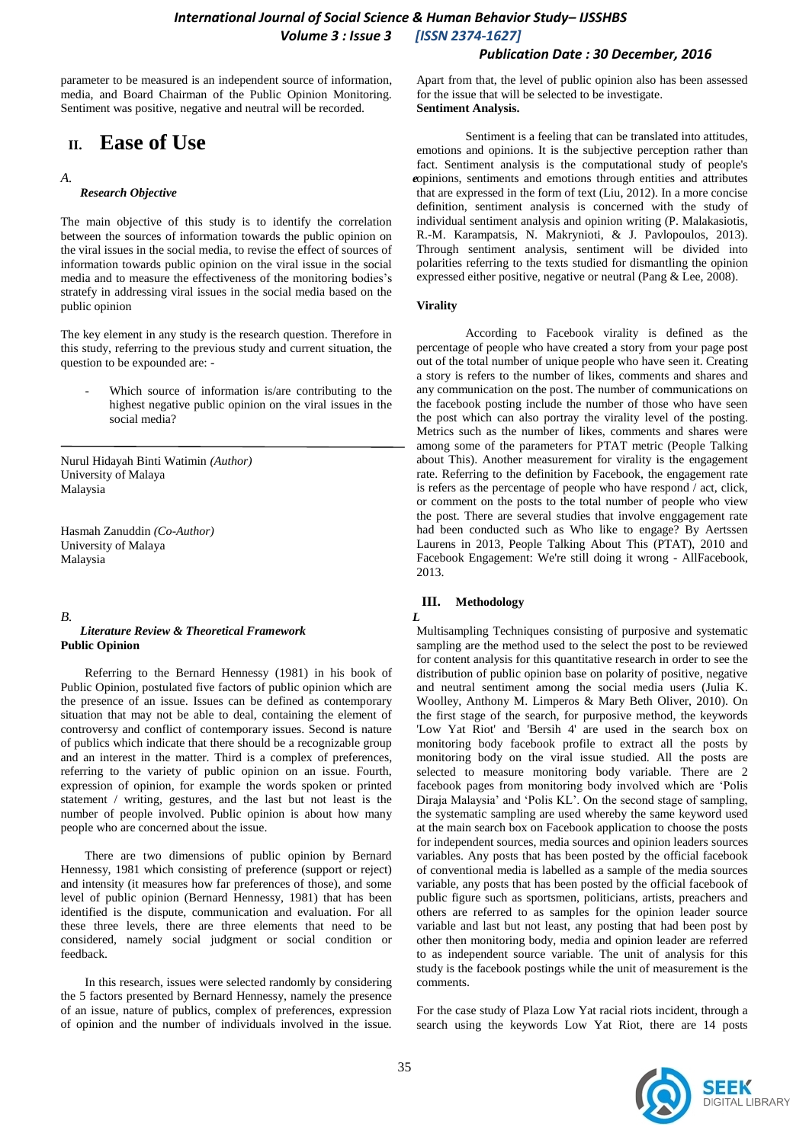## *International Journal of Social Science & Human Behavior Study– IJSSHBS Volume 3 : Issue 3 [ISSN 2374-1627]*

parameter to be measured is an independent source of information, media, and Board Chairman of the Public Opinion Monitoring. Sentiment was positive, negative and neutral will be recorded.

# **II. Ease of Use**

#### *A. e*

#### *Research Objective*

The main objective of this study is to identify the correlation between the sources of information towards the public opinion on the viral issues in the social media, to revise the effect of sources of information towards public opinion on the viral issue in the social media and to measure the effectiveness of the monitoring bodies's stratefy in addressing viral issues in the social media based on the public opinion

The key element in any study is the research question. Therefore in this study, referring to the previous study and current situation, the question to be expounded are: -

Which source of information is/are contributing to the highest negative public opinion on the viral issues in the social media?

Nurul Hidayah Binti Watimin *(Author)* University of Malaya Malaysia

Hasmah Zanuddin *(Co-Author)* University of Malaya Malaysia

#### *B. L Literature Review & Theoretical Framework* **Public Opinion**

Referring to the Bernard Hennessy (1981) in his book of Public Opinion, postulated five factors of public opinion which are the presence of an issue. Issues can be defined as contemporary situation that may not be able to deal, containing the element of controversy and conflict of contemporary issues. Second is nature of publics which indicate that there should be a recognizable group and an interest in the matter. Third is a complex of preferences, referring to the variety of public opinion on an issue. Fourth, expression of opinion, for example the words spoken or printed statement / writing, gestures, and the last but not least is the number of people involved. Public opinion is about how many people who are concerned about the issue.

There are two dimensions of public opinion by Bernard Hennessy, 1981 which consisting of preference (support or reject) and intensity (it measures how far preferences of those), and some level of public opinion (Bernard Hennessy, 1981) that has been identified is the dispute, communication and evaluation. For all these three levels, there are three elements that need to be considered, namely social judgment or social condition or feedback.

In this research, issues were selected randomly by considering the 5 factors presented by Bernard Hennessy, namely the presence of an issue, nature of publics, complex of preferences, expression of opinion and the number of individuals involved in the issue.

Apart from that, the level of public opinion also has been assessed for the issue that will be selected to be investigate. **Sentiment Analysis.**

*Publication Date : 30 December, 2016*

Sentiment is a feeling that can be translated into attitudes, emotions and opinions. It is the subjective perception rather than fact. Sentiment analysis is the computational study of people's opinions, sentiments and emotions through entities and attributes that are expressed in the form of text (Liu, 2012). In a more concise definition, sentiment analysis is concerned with the study of individual sentiment analysis and opinion writing (P. Malakasiotis, R.-M. Karampatsis, N. Makrynioti, & J. Pavlopoulos, 2013). Through sentiment analysis, sentiment will be divided into polarities referring to the texts studied for dismantling the opinion expressed either positive, negative or neutral (Pang & Lee, 2008).

#### **Virality**

According to Facebook virality is defined as the percentage of people who have created a story from your page post out of the total number of unique people who have seen it. Creating a story is refers to the number of likes, comments and shares and any communication on the post. The number of communications on the facebook posting include the number of those who have seen the post which can also portray the virality level of the posting. Metrics such as the number of likes, comments and shares were among some of the parameters for PTAT metric (People Talking about This). Another measurement for virality is the engagement rate. Referring to the definition by Facebook, the engagement rate is refers as the percentage of people who have respond / act, click, or comment on the posts to the total number of people who view the post. There are several studies that involve enggagement rate had been conducted such as Who like to engage? By Aertssen Laurens in 2013, People Talking About This (PTAT), 2010 and Facebook Engagement: We're still doing it wrong - AllFacebook, 2013.

#### **III. Methodology**

Multisampling Techniques consisting of purposive and systematic sampling are the method used to the select the post to be reviewed for content analysis for this quantitative research in order to see the distribution of public opinion base on polarity of positive, negative and neutral sentiment among the social media users (Julia K. Woolley, Anthony M. Limperos & Mary Beth Oliver, 2010). On the first stage of the search, for purposive method, the keywords 'Low Yat Riot' and 'Bersih 4' are used in the search box on monitoring body facebook profile to extract all the posts by monitoring body on the viral issue studied. All the posts are selected to measure monitoring body variable. There are 2 facebook pages from monitoring body involved which are 'Polis Diraja Malaysia' and 'Polis KL'. On the second stage of sampling, the systematic sampling are used whereby the same keyword used at the main search box on Facebook application to choose the posts for independent sources, media sources and opinion leaders sources variables. Any posts that has been posted by the official facebook of conventional media is labelled as a sample of the media sources variable, any posts that has been posted by the official facebook of public figure such as sportsmen, politicians, artists, preachers and others are referred to as samples for the opinion leader source variable and last but not least, any posting that had been post by other then monitoring body, media and opinion leader are referred to as independent source variable. The unit of analysis for this study is the facebook postings while the unit of measurement is the comments.

For the case study of Plaza Low Yat racial riots incident, through a search using the keywords Low Yat Riot, there are 14 posts

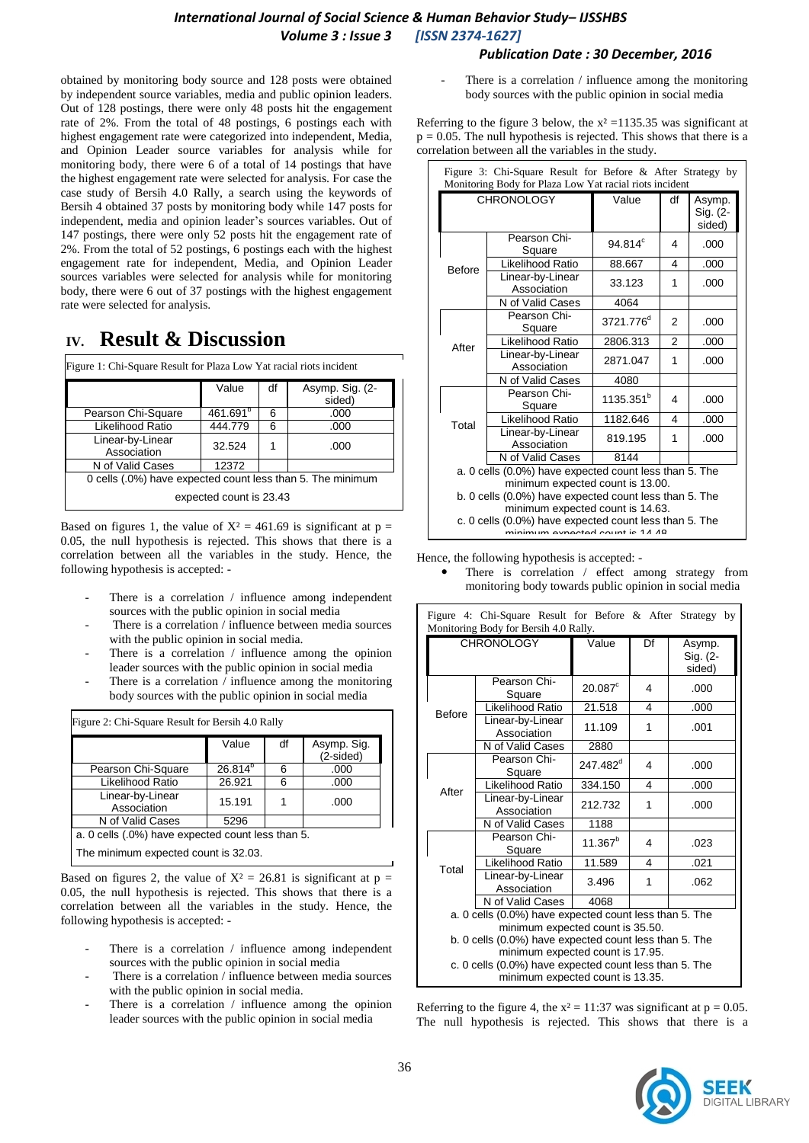# *International Journal of Social Science & Human Behavior Study– IJSSHBS Volume 3 : Issue 3 [ISSN 2374-1627]*

### *Publication Date : 30 December, 2016*

obtained by monitoring body source and 128 posts were obtained by independent source variables, media and public opinion leaders. Out of 128 postings, there were only 48 posts hit the engagement rate of 2%. From the total of 48 postings, 6 postings each with highest engagement rate were categorized into independent, Media, and Opinion Leader source variables for analysis while for monitoring body, there were 6 of a total of 14 postings that have the highest engagement rate were selected for analysis. For case the case study of Bersih 4.0 Rally, a search using the keywords of Bersih 4 obtained 37 posts by monitoring body while 147 posts for independent, media and opinion leader's sources variables. Out of 147 postings, there were only 52 posts hit the engagement rate of 2%. From the total of 52 postings, 6 postings each with the highest engagement rate for independent, Media, and Opinion Leader sources variables were selected for analysis while for monitoring body, there were 6 out of 37 postings with the highest engagement rate were selected for analysis.

# **IV. Result & Discussion**

| Figure 1: Chi-Square Result for Plaza Low Yat racial riots incident | Value                | df | Asymp. Sig. (2-<br>sided) |  |  |
|---------------------------------------------------------------------|----------------------|----|---------------------------|--|--|
| Pearson Chi-Square                                                  | 461.691 <sup>b</sup> | 6  | .000                      |  |  |
| Likelihood Ratio                                                    | 444.779              | 6  | .000                      |  |  |
| Linear-by-Linear<br>Association                                     | 32.524               | 1  | .000                      |  |  |
| N of Valid Cases                                                    | 12372                |    |                           |  |  |
| 0 cells (.0%) have expected count less than 5. The minimum          |                      |    |                           |  |  |
| expected count is 23.43                                             |                      |    |                           |  |  |

Based on figures 1, the value of  $X^2 = 461.69$  is significant at  $p =$ 0.05, the null hypothesis is rejected. This shows that there is a correlation between all the variables in the study. Hence, the following hypothesis is accepted: -

- There is a correlation  $/$  influence among independent sources with the public opinion in social media
- There is a correlation / influence between media sources with the public opinion in social media.
- There is a correlation  $/$  influence among the opinion leader sources with the public opinion in social media
- There is a correlation  $\ell$  influence among the monitoring body sources with the public opinion in social media

|                                 | Value        | df | Asymp. Sig.<br>(2-sided) |
|---------------------------------|--------------|----|--------------------------|
| Pearson Chi-Square              | $26.814^{b}$ | 6  | .000                     |
| Likelihood Ratio                | 26.921       | 6  | .000                     |
| Linear-by-Linear<br>Association | 15.191       |    | .000                     |
| N of Valid Cases                | 5296         |    |                          |

The minimum expected count is 32.03.

Based on figures 2, the value of  $X^2 = 26.81$  is significant at  $p =$ 0.05, the null hypothesis is rejected. This shows that there is a correlation between all the variables in the study. Hence, the following hypothesis is accepted: -

- There is a correlation  $/$  influence among independent sources with the public opinion in social media
- There is a correlation / influence between media sources with the public opinion in social media.
- There is a correlation  $\ell$  influence among the opinion leader sources with the public opinion in social media

There is a correlation  $/$  influence among the monitoring body sources with the public opinion in social media

Referring to the figure 3 below, the  $x^2 = 1135.35$  was significant at  $p = 0.05$ . The null hypothesis is rejected. This shows that there is a correlation between all the variables in the study.

| Figure 3: Chi-Square Result for Before & After Strategy by<br>Monitoring Body for Plaza Low Yat racial riots incident         |                                                                                            |                       |                |                              |
|-------------------------------------------------------------------------------------------------------------------------------|--------------------------------------------------------------------------------------------|-----------------------|----------------|------------------------------|
|                                                                                                                               | <b>CHRONOLOGY</b>                                                                          | Value                 | df             | Asymp.<br>Sig. (2-<br>sided) |
| <b>Before</b>                                                                                                                 | Pearson Chi-<br>Square                                                                     | $94.814^{\circ}$      | 4              | .000                         |
|                                                                                                                               | Likelihood Ratio                                                                           | 88.667                | 4              | .000                         |
|                                                                                                                               | Linear-by-Linear<br>Association                                                            | 33.123                | 1              | .000                         |
|                                                                                                                               | N of Valid Cases                                                                           | 4064                  |                |                              |
| After                                                                                                                         | Pearson Chi-<br>Square                                                                     | 3721.776 <sup>d</sup> | $\overline{2}$ | .000                         |
|                                                                                                                               | Likelihood Ratio                                                                           | 2806.313              | $\mathfrak{p}$ | .000                         |
|                                                                                                                               | Linear-by-Linear<br>Association                                                            | 2871.047              | 1              | .000                         |
|                                                                                                                               | N of Valid Cases                                                                           | 4080                  |                |                              |
|                                                                                                                               | Pearson Chi-<br>Square                                                                     | 1135.351 <sup>b</sup> | 4              | .000                         |
| Total                                                                                                                         | Likelihood Ratio                                                                           | 1182.646              | 4              | .000                         |
|                                                                                                                               | Linear-by-Linear<br>Association                                                            | 819.195               | 1              | .000                         |
|                                                                                                                               | N of Valid Cases                                                                           | 8144                  |                |                              |
| a. 0 cells (0.0%) have expected count less than 5. The                                                                        |                                                                                            |                       |                |                              |
|                                                                                                                               | minimum expected count is 13.00.<br>b. 0 cells (0.0%) have expected count less than 5. The |                       |                |                              |
| minimum expected count is 14.63.<br>c. 0 cells (0.0%) have expected count less than 5. The<br>minimum expected count is 14.48 |                                                                                            |                       |                |                              |

Hence, the following hypothesis is accepted: -

 There is correlation / effect among strategy from monitoring body towards public opinion in social media

| Figure 4: Chi-Square Result for Before & After Strategy by<br>Monitoring Body for Bersih 4.0 Rally.                            |                                 |                      |    |                              |
|--------------------------------------------------------------------------------------------------------------------------------|---------------------------------|----------------------|----|------------------------------|
|                                                                                                                                | <b>CHRONOLOGY</b>               | Value                | Df | Asymp.<br>Sig. (2-<br>sided) |
| <b>Before</b>                                                                                                                  | Pearson Chi-<br>Square          | $20.087^{\circ}$     | 4  | .000                         |
|                                                                                                                                | Likelihood Ratio                | 21.518               | 4  | .000                         |
|                                                                                                                                | Linear-by-Linear<br>Association | 11.109               | 1  | .001                         |
|                                                                                                                                | N of Valid Cases                | 2880                 |    |                              |
| After                                                                                                                          | Pearson Chi-<br>Square          | 247.482 <sup>d</sup> | 4  | .000                         |
|                                                                                                                                | Likelihood Ratio                | 334.150              | 4  | .000                         |
|                                                                                                                                | Linear-by-Linear<br>Association | 212.732              | 1  | .000                         |
|                                                                                                                                | N of Valid Cases                | 1188                 |    |                              |
| Total                                                                                                                          | Pearson Chi-<br>Square          | $11.367^{b}$         | 4  | .023                         |
|                                                                                                                                | Likelihood Ratio                | 11.589               | 4  | .021                         |
|                                                                                                                                | Linear-by-Linear<br>Association | 3.496                | 1  | .062                         |
|                                                                                                                                | N of Valid Cases                | 4068                 |    |                              |
| a. 0 cells (0.0%) have expected count less than 5. The                                                                         |                                 |                      |    |                              |
| minimum expected count is 35.50.<br>b. 0 cells (0.0%) have expected count less than 5. The<br>minimum expected count is 17.95. |                                 |                      |    |                              |
| c. 0 cells (0.0%) have expected count less than 5. The<br>minimum expected count is 13.35.                                     |                                 |                      |    |                              |

Referring to the figure 4, the  $x^2 = 11:37$  was significant at  $p = 0.05$ . The null hypothesis is rejected. This shows that there is a